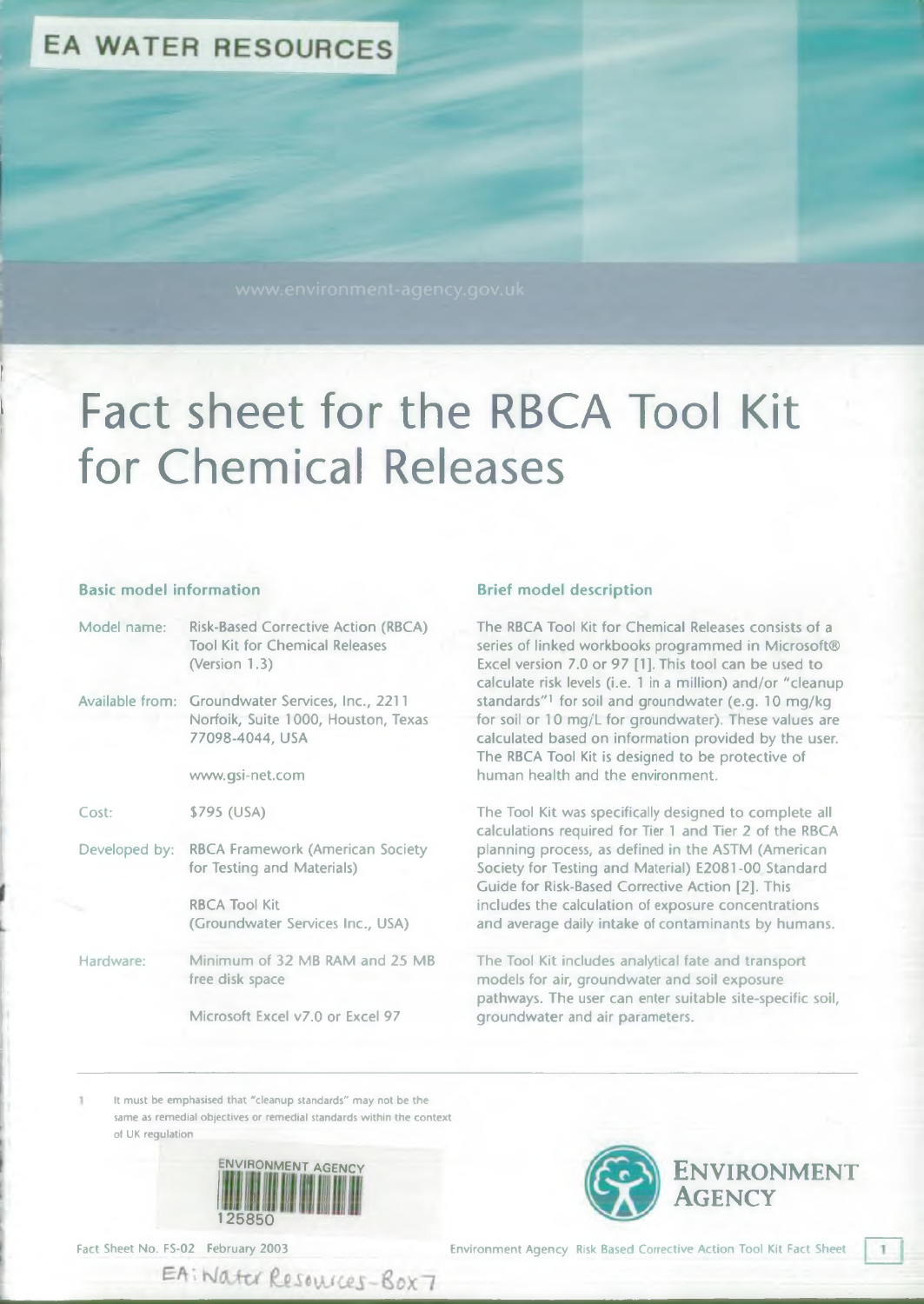# **EA WATER RESOURCES**

# $f = \frac{1}{\sqrt{2}}$ Fact sheet for the RBCA Tool Kit for Chemical Releases

#### **Basic model information Brief model description**

| Model name:   | <b>Risk-Based Corrective Action (RBCA)</b><br><b>Tool Kit for Chemical Releases</b><br>(Version 1.3)       |  |  |  |
|---------------|------------------------------------------------------------------------------------------------------------|--|--|--|
|               | Available from: Groundwater Services, Inc., 2211<br>Norfoik, Suite 1000, Houston, Texas<br>77098-4044, USA |  |  |  |
|               | www.gsi-net.com                                                                                            |  |  |  |
| Cost:         | \$795 (USA)                                                                                                |  |  |  |
| Developed by: | <b>RBCA Framework (American Society</b><br>for Testing and Materials)                                      |  |  |  |
|               | <b>RBCA Tool Kit</b><br>(Groundwater Services Inc., USA)                                                   |  |  |  |
| Hardware:     | Minimum of 32 MB RAM and 25 MB<br>free disk space                                                          |  |  |  |
|               | Microsoft Excel v7.0 or Excel 97                                                                           |  |  |  |

The RBCA Tool Kit for Chemical Releases consists of a series of linked workbooks programmed in Microsoft® Excel version 7.0 or 97 [1]. This tool can be used to calculate risk levels (i.e. 1 in a million) and/or "cleanup standards"1 for soil and groundwater (e.g. 10 mg/kg for soil or 10 mg/L for groundwater). These values are calculated based on information provided by the user. The RBCA Tool Kit is designed to be protective of human health and the environment.

The Tool Kit was specifically designed to complete all calculations required for Tier 1 and Tier 2 of the RBCA planning process, as defined in the ASTM (American Society for Testing and Material) E2081-00 Standard Guide for Risk-Based Corrective Action [2]. This includes the calculation of exposure concentrations and average daily intake of contaminants by humans.

The Tool Kit includes analytical fate and transport models for air, groundwater and soil exposure pathways. The user can enter suitable site-specific soil, groundwater and air parameters.

It must be emphasised that "cleanup standards" may not be the same as remedial objectives or remedial standards within the context of UK regulation



EA: Water Resources-Box7



-

Environment Agency Risk Based Corrective Action Tool Kit Fact Sheet

**ENVIRONMENT** 

**A g e n c y**

1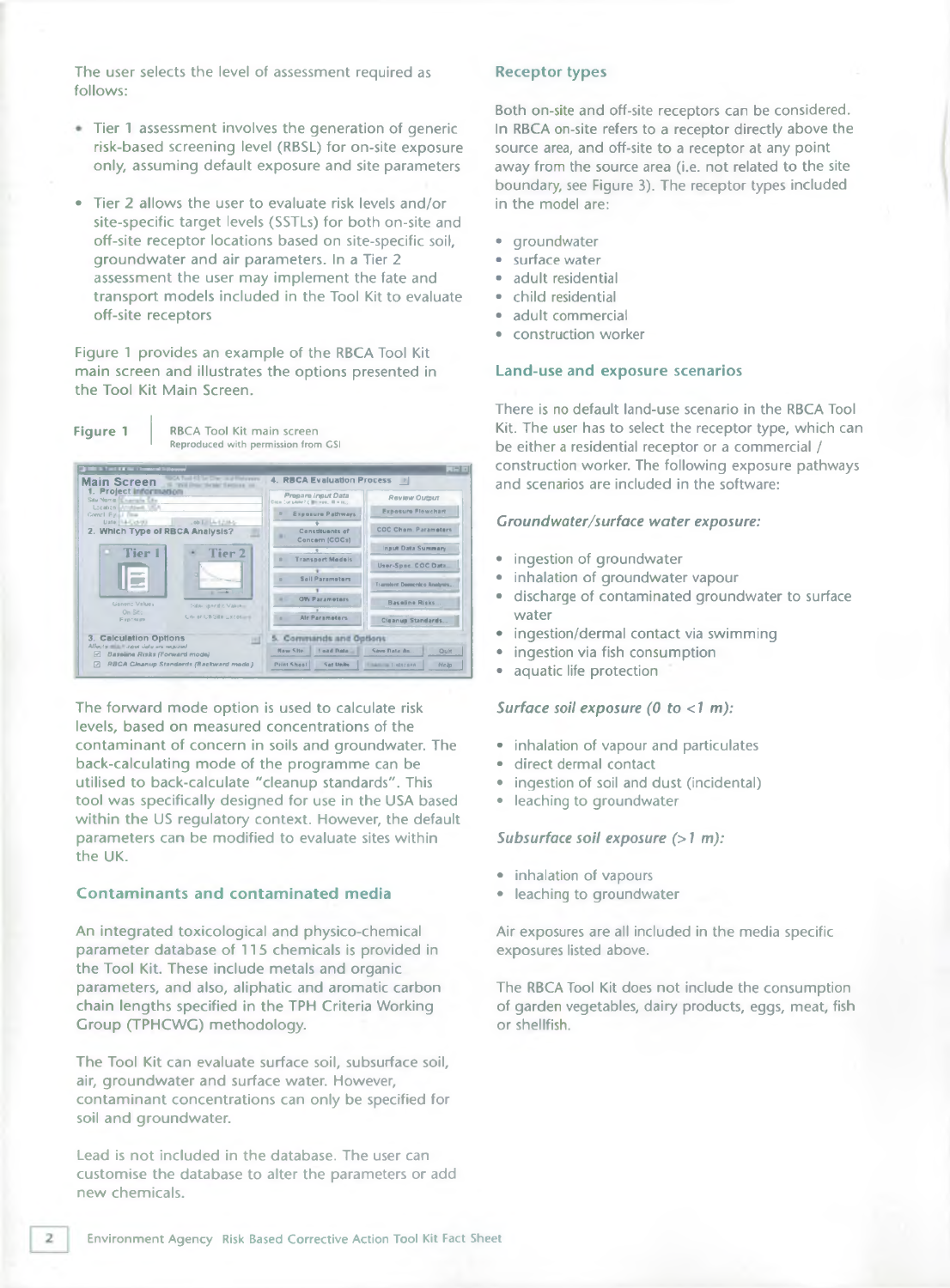The user selects the level of assessment required as follows:

- Tier 1 assessment involves the generation of generic risk-based screening level (RBSL) for on-site exposure only, assuming default exposure and site parameters
- Tier 2 allows the user to evaluate risk levels and/or site-specific target levels (SSTLs) for both on-site and off-site receptor locations based on site-specific soil, groundwater and air parameters. In a Tier 2 assessment the user may implement the fate and transport models included in the Tool Kit to evaluate off-site receptors

Figure 1 provides an example of the RBCA Tool Kit main screen and illustrates the options presented in the Tool Kit Main Screen.



The forward mode option is used to calculate risk levels, based on measured concentrations of the contaminant of concern in soils and groundwater. The back-calculating mode of the programme can be utilised to back-calculate "cleanup standards". This tool was specifically designed for use in the USA based within the US regulatory context. However, the default parameters can be modified to evaluate sites within the UK.

#### **Contam inants and contam inated media**

An integrated toxicological and physico-chemical parameter database of 115 chemicals is provided in the Tool Kit. These include metals and organic parameters, and also, aliphatic and aromatic carbon chain lengths specified in the TPH Criteria Working Group (TPHCWG) methodology.

The Tool Kit can evaluate surface soil, subsurface soil, air, groundwater and surface water. However, contaminant concentrations can only be specified for soil and groundwater.

Lead is not included in the database. The user can customise the database to alter the parameters or add new chemicals.

#### **Receptor types**

Both on-site and off-site receptors can be considered. In RBCA on-site refers to a receptor directly above the source area, and off-site to a receptor at any point away from the source area (i.e. not related to the site boundary, see Figure 3). The receptor types included in the model are:

- groundwater
- surface water
- adult residential
- child residential
- adult commercial
- construction worker

#### **Land-use and exposure scenarios**

There is no default land-use scenario in the RBCA Tool Kit. The user has to select the receptor type, which can be either a residential receptor or a commercial / construction worker. The following exposure pathways and scenarios are included in the software:

#### *Groundwater/surface water exposure:*

- ingestion of groundwater
- inhalation of groundwater vapour
- discharge of contaminated groundwater to surface water
- ingestion/dermal contact via swimming
- ingestion via fish consumption
- aquatic life protection

#### *Surface soil exposure (0 to <1 m):*

- inhalation of vapour and particulates
- direct dermal contact
- ingestion of soil and dust (incidental)
- leaching to groundwater

#### *Subsurface soil exposure (>1 m):*

- *•* inhalation of vapours
- leaching to groundwater

Air exposures are all included in the media specific exposures listed above.

The RBCA Tool Kit does not include the consumption of garden vegetables, dairy products, eggs, meat, fish or shellfish.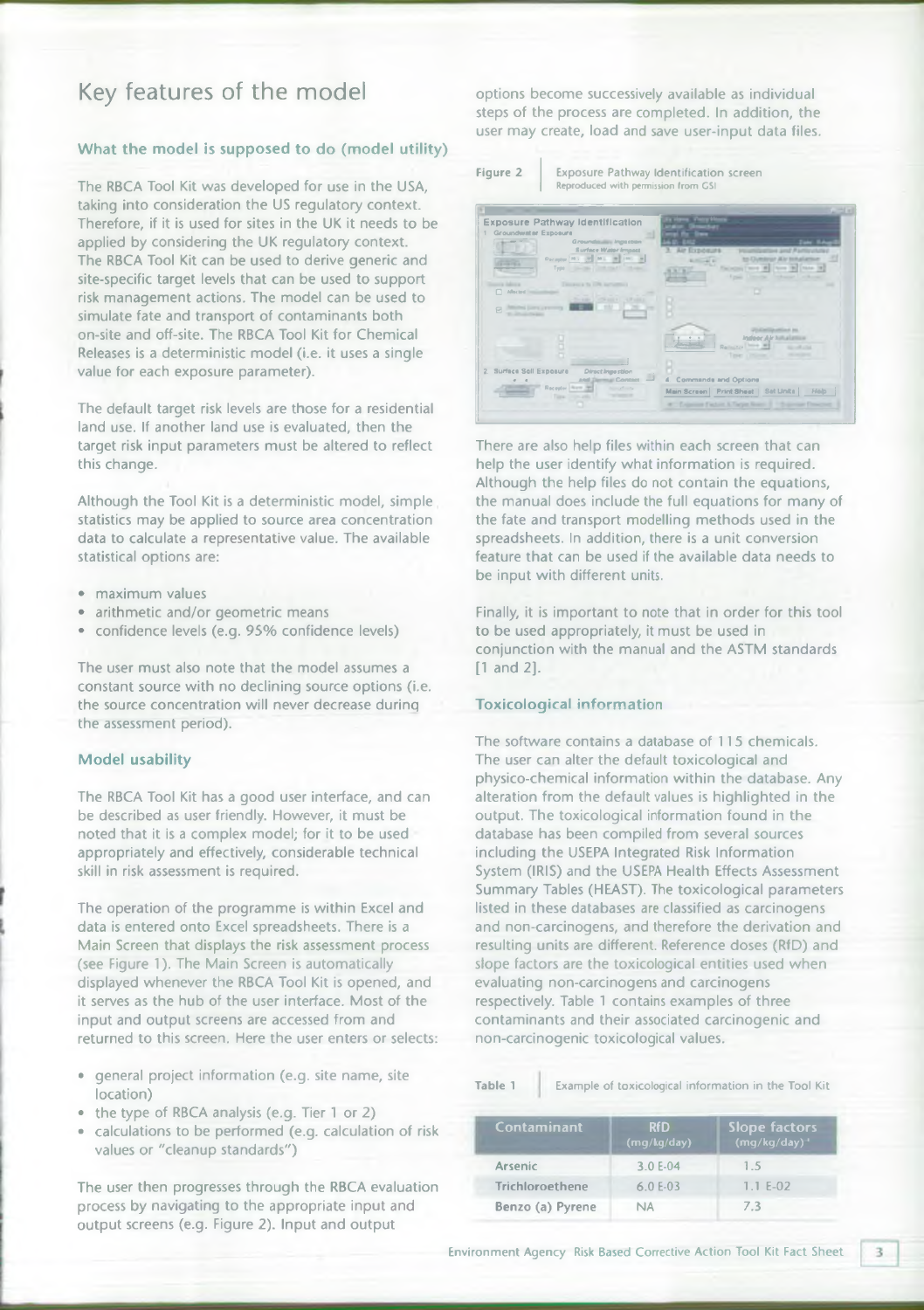# **Key features of the model**

### **What the model is supposed to do (model utility)**

The RBCA Tool Kit was developed for use in the USA, taking into consideration the US regulatory context. Therefore, if it is used for sites in the UK it needs to be applied by considering the UK regulatory context. The RBCA Tool Kit can be used to derive generic and site-specific target levels that can be used to support risk management actions. The model can be used to simulate fate and transport of contaminants both on-site and off-site. The RBCA Tool Kit for Chemical Releases is a deterministic model (i.e. it uses a single value for each exposure parameter).

The default target risk levels are those for a residential land use. If another land use is evaluated, then the target risk input parameters must be altered to reflect this change.

Although the Tool Kit is a deterministic model, simple statistics may be applied to source area concentration data to calculate a representative value. The available statistical options are:

- maximum values
- arithmetic and/or geometric means
- confidence levels (e.g. 95% confidence levels)

The user must also note that the model assumes a constant source with no declining source options (i.e. the source concentration will never decrease durinq the assessment period).

#### **Model usability**

The RBCA Tool Kit has a good user interface, and can be described as user friendly. However, it must be noted that it is a complex model; for it to be used appropriately and effectively, considerable technical skill in risk assessment is required.

The operation of the programme is within Excel and data is entered onto Excel spreadsheets. There is a Main Screen that displays the risk assessment process (see Figure 1). The Main Screen is automatically displayed whenever the RBCA Tool Kit is opened, and it serves as the hub of the user interface. Most of the input and output screens are accessed from and returned to this screen. Here the user enters or selects:

- general project information (e.g. site name, site location)
- the type of RBCA analysis (e.g. Tier 1 or 2)
- calculations to be performed (e.g. calculation of risk values or "cleanup standards")

The user then progresses through the RBCA evaluation process by navigating to the appropriate input and output screens (e.g. Figure 2). Input and output

options become successively available as individual steps of the process are completed. In addition, the user may create, load and save user-input data files.



Figure 2 | Exposure Pathway Identification screen Reproduced with permission from CSI



There are also help files within each screen that can help the user identify what information is required. Although the help files do not contain the equations, the manual does include the full equations for many of the fate and transport modelling methods used in the spreadsheets. In addition, there is a unit conversion feature that can be used if the available data needs to be input with different units.

Finally, it is important to note that in order for this tool to be used appropriately, it must be used in conjunction with the manual and the ASTM standards [1 and 2].

#### **Toxicological information**

The software contains a database of 115 chemicals. The user can alter the default toxicological and physico-chemical information within the database. Any alteration from the default values is highlighted in the output. The toxicological information found in the database has been compiled from several sources including the USEPA Integrated Risk Information System (IRIS) and the USEPA Health Effects Assessment Summary Tables (HEAST). The toxicological parameters listed in these databases are classified as carcinogens and non-carcinogens, and therefore the derivation and resulting units are different. Reference doses (RfD) and slope factors are the toxicological entities used when evaluating non-carcinogens and carcinogens respectively. Table 1 contains examples of three contaminants and their associated carcinogenic and non-carcinogenic toxicological values.

Table 1 Example of toxicological information in the Tool Kit

| Contaminant            | <b>RfD</b><br>(mq/kg/day) | <b>Slope factors</b><br>$(mg/kg/day)^{-1}$ |  |
|------------------------|---------------------------|--------------------------------------------|--|
| <b>Arsenic</b>         | 3.0 E-04                  | 1.5                                        |  |
| <b>Trichloroethene</b> | $6.0 E-03$                | $1.1 E-02$                                 |  |
| Benzo (a) Pyrene       | ΝA                        | 7.3                                        |  |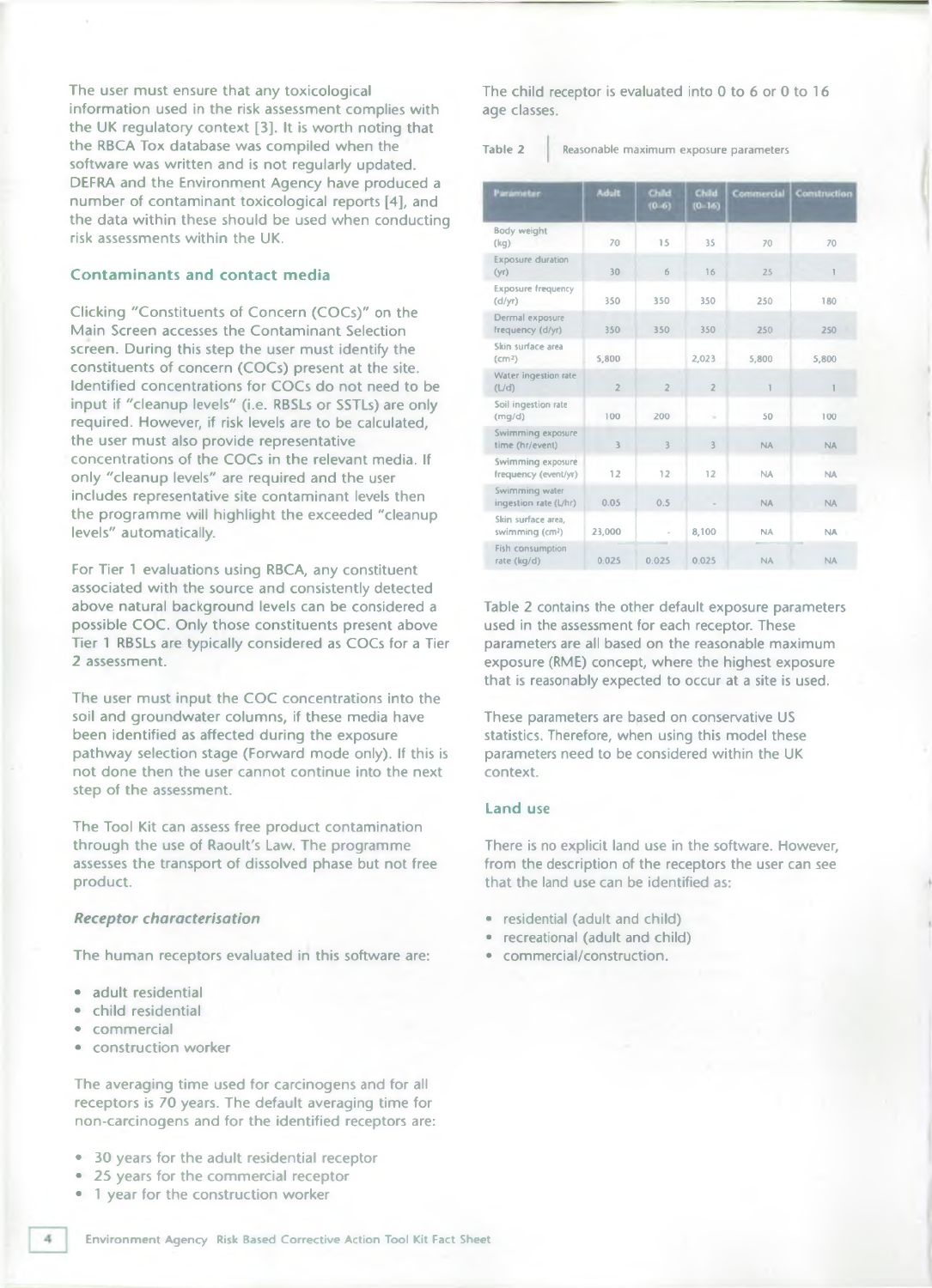The user must ensure that any toxicological information used in the risk assessment complies with the UK regulatory context [3]. It is worth noting that the RBCA Tox database was compiled when the software was written and is not regularly updated. DEFRA and the Environment Agency have produced a number of contaminant toxicological reports [4], and the data within these should be used when conducting risk assessments within the UK.

#### **Contam inants and contact media**

Clicking "Constituents of Concern (COCs)" on the Main Screen accesses the Contaminant Selection screen. During this step the user must identify the constituents of concern (COCs) present at the site. Identified concentrations for COCs do not need to be input if "cleanup levels" (i.e. RBSLs or SSTLs) are only required. However, if risk levels are to be calculated, the user must also provide representative concentrations of the COCs in the relevant media. If only "cleanup levels" are required and the user includes representative site contaminant levels then the programme will highlight the exceeded "cleanup levels" automatically.

For Tier 1 evaluations using RBCA, any constituent associated with the source and consistently detected above natural background levels can be considered a possible COC. Only those constituents present above Tier 1 RBSLs are typically considered as COCs for a Tier 2 assessment.

The user must input the COC concentrations into the soil and groundwater columns, if these media have been identified as affected during the exposure pathway selection stage (Forward mode only). If this is not done then the user cannot continue into the next step of the assessment.

The Tool Kit can assess free product contamination through the use of Raoult's Law. The programme assesses the transport of dissolved phase but not free product.

#### *Receptor characterisation*

The human receptors evaluated in this software are:

- adult residential
- child residential
- commercial
- construction worker

The averaging time used for carcinogens and for all receptors is 70 years. The default averaging time for non-carcinogens and for the identified receptors are:

- 30 years for the adult residential receptor
- 25 years for the commercial receptor
- 1 year for the construction worker

The child receptor is evaluated into 0 to 6 or 0 to 16 age classes.

Table 2 Reasonable maximum exposure parameters

| Parameter-                                        | <b>Adult</b>   | Child<br>$(0 - 6)$ | Child<br>$(0 - 16)$ | Commercial              | <b>Construction</b> |
|---------------------------------------------------|----------------|--------------------|---------------------|-------------------------|---------------------|
| <b>Body weight</b><br>(kq)                        | 70             | 15                 | 35                  | 70                      | 70                  |
| <b>Exposure duration</b><br>(yr)                  | 30             | 6                  | 16                  | 25                      | $\mathbb{I}$        |
| <b>Exposure frequency</b><br>(d/yr)               | 350            | 350                | 350                 | 250                     | 180                 |
| Dermal exposure<br>frequency (d/yr)               | 350            | 350                | 350                 | 250                     | 250                 |
| Skin surface area<br>(cm <sup>2</sup> )           | 5,800          |                    | 2,023               | 5,800                   | 5,800               |
| Water ingestion rate<br>(L/d)                     | $\overline{2}$ | $\overline{2}$     | $\overline{2}$      | $\overline{\mathbf{1}}$ | 1                   |
| Soil ingestion rate<br>(mq/d)                     | 100            | 200                | ×.                  | 50                      | 100                 |
| Swimming exposure<br>time (hr/event)              | $\overline{3}$ | 3                  | 3                   | <b>NA</b>               | <b>NA</b>           |
| Swimming exposure<br>frequency (event/yr)         | 12             | 12                 | 12                  | <b>NA</b>               | <b>NA</b>           |
| Swimming water<br>ingestion rate (L/hr)           | 0.05           | 0.5                |                     | <b>NA</b>               | <b>NA</b>           |
| Skin surface area.<br>swimming (cm <sup>2</sup> ) | 23,000         |                    | 8,100               | NA.                     | <b>NA</b>           |
| Fish consumption<br>rate (kg/d)                   | 0.025          | 0.025              | 0.025               | <b>NA</b>               | <b>NA</b>           |

Table 2 contains the other default exposure parameters used in the assessment for each receptor. These parameters are all based on the reasonable maximum exposure (RME) concept, where the highest exposure that is reasonably expected to occur at a site is used.

These parameters are based on conservative US statistics. Therefore, when using this model these parameters need to be considered within the UK context.

#### **Land use**

There is no explicit land use in the software. However, from the description of the receptors the user can see that the land use can be identified as:

- residential (adult and child)
- recreational (adult and child)
- commercial/construction.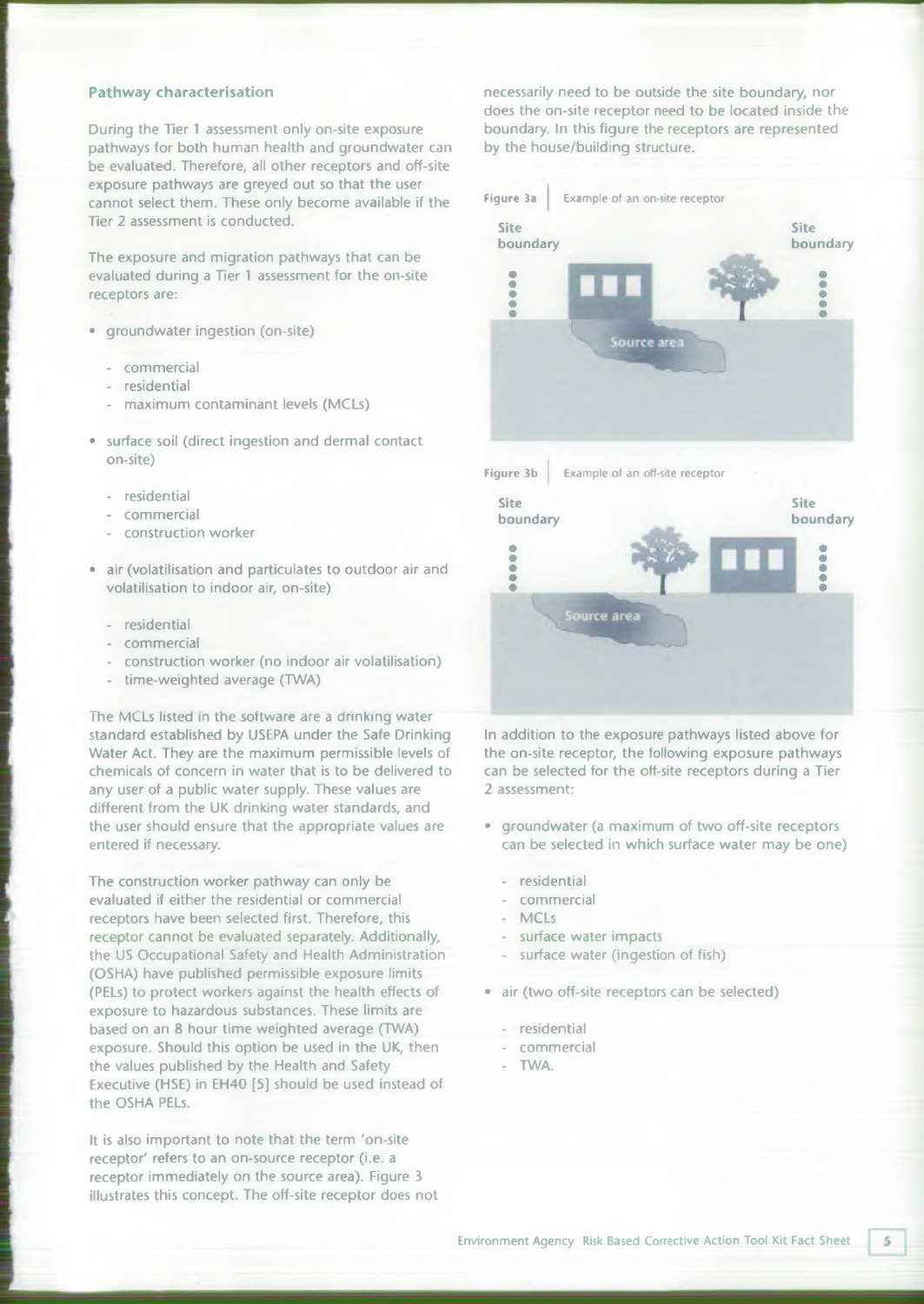#### **Pathway characterisation**

During the Tier 1 assessment only on-site exposure pathways for both human health and groundwater can be evaluated. Therefore, all other receptors and off-site exposure pathways are greyed out so that the user cannot select them. These only become available if the Tier 2 assessment is conducted.

The exposure and migration pathways that can be evaluated during a Tier 1 assessment for the on-site receptors are:

- groundwater ingestion (on-site)
	- commercial
	- residential
	- maximum contaminant levels (MCLs)
- surface soil (direct ingestion and dermal contact on-site)
	- residential
	- commercial
	- construction worker
- air (volatilisation and particulates to outdoor air and volatilisation to indoor air, on-site)
	- residential
	- commercial
	- construction worker (no indoor air volatilisation)
	- time-weighted average (TWA)

The MCLs listed in the software are a drinking water standard established by USEPA under the Safe Drinking Water Act. They are the maximum permissible levels of chemicals of concern in water that is to be delivered to any user of a public water supply. These values are different from the UK drinking water standards, and the user should ensure that the appropriate values are entered if necessary.

The construction worker pathway can only be evaluated if either the residential or commercial receptors have been selected first. Therefore, this receptor cannot be evaluated separately. Additionally, the US Occupational Safety and Health Administration (OSHA) have published permissible exposure limits (PELs) to protect workers against the health effects of exposure to hazardous substances. These limits are based on an 8 hour time weighted average (TWA) exposure. Should this option be used in the UK, then the values published by the Health and Safety Executive (HSE) in EH40 [5] should be used instead of the OSHA PELs.

It is also important to note that the term 'on-site receptor' refers to an on-source receptor (i.e. a receptor immediately on the source area). Figure 3 illustrates this concept. The off-site receptor does not necessarily need to be outside the site boundary, nor does the on-site receptor need to be located inside the boundary. In this figure the receptors are represented by the house/building structure.



In addition to the exposure pathways listed above for the on-site receptor, the following exposure pathways can be selected for the off-site receptors during a Tier 2 assessment:

- groundwater (a maximum of two off-site receptors can be selected in which surface water may be one)
	- residential
	- commercial
	- MCLs
	- surface water impacts
	- surface water (ingestion of fish)
- air (two off-site receptors can be selected)
	- residential
	- commercial
	- TWA.

 $\mathsf{S}$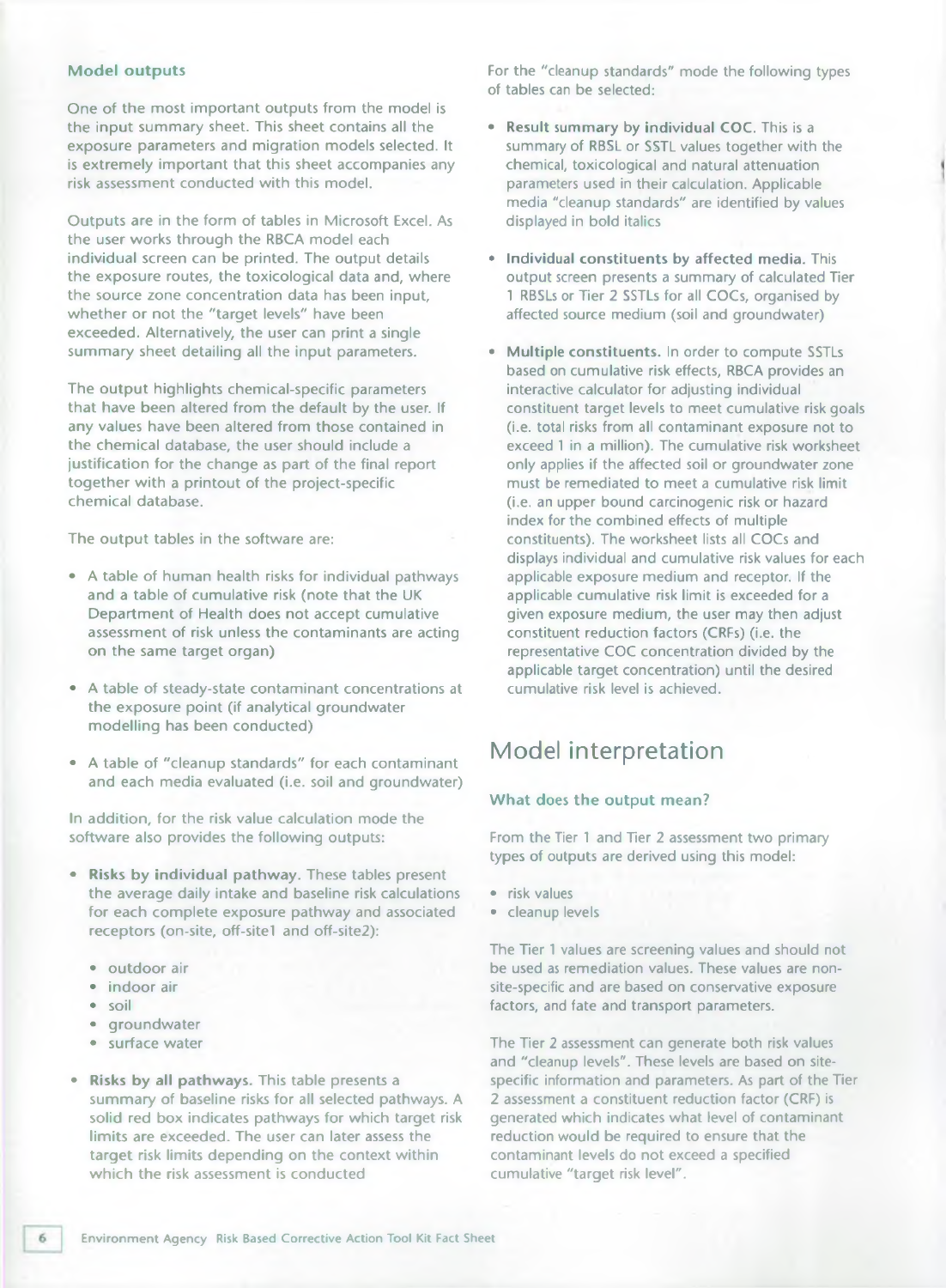#### **Model outputs**

One of the most important outputs from the model is the input summary sheet. This sheet contains all the exposure parameters and migration models selected. It is extremely important that this sheet accompanies any risk assessment conducted with this model.

Outputs are in the form of tables in Microsoft Excel. As the user works through the RBCA model each individual screen can be printed. The output details the exposure routes, the toxicological data and, where the source zone concentration data has been input, whether or not the "target levels" have been exceeded. Alternatively, the user can print a single summary sheet detailing all the input parameters.

The output highlights chemical-specific parameters that have been altered from the default by the user. If any values have been altered from those contained in the chemical database, the user should include a justification for the change as part of the final report together with a printout of the project-specific chemical database.

The output tables in the software are:

- A table of human health risks for individual pathways and a table of cumulative risk (note that the UK Department of Health does not accept cumulative assessment of risk unless the contaminants are acting on the same target organ)
- A table of steady-state contaminant concentrations at the exposure point (if analytical groundwater modelling has been conducted)
- A table of "cleanup standards" for each contaminant and each media evaluated (i.e. soil and groundwater)

In addition, for the risk value calculation mode the software also provides the following outputs:

- **Risks by individual pathway.** These tables present the average daily intake and baseline risk calculations for each complete exposure pathway and associated receptors (on-site, off-sitel and off-site2):
	- outdoor air
	- indoor air
	- soil
	- groundwater
	- surface water
- **Risks by all pathways.** This table presents a summary of baseline risks for all selected pathways. A solid red box indicates pathways for which target risk limits are exceeded. The user can later assess the target risk limits depending on the context within which the risk assessment is conducted

For the "cleanup standards" mode the following types of tables can be selected:

- **Result summary by individual COC.** This is a summary of RBSL or SSTL values together with the chemical, toxicological and natural attenuation parameters used in their calculation. Applicable media "cleanup standards" are identified by values displayed in bold italics
- **Individual constituents by affected media.** This output screen presents a summary of calculated Tier 1 RBSLs or Tier 2 SSTLs for all COCs, organised by affected source medium (soil and groundwater)
- **Multiple constituents.** In order to compute SSTLs based on cumulative risk effects, RBCA provides an interactive calculator for adjusting individual constituent target levels to meet cumulative risk goals (i.e. total risks from all contaminant exposure not to exceed 1 in a million). The cumulative risk worksheet only applies if the affected soil or groundwater zone must be remediated to meet a cumulative risk limit (i.e. an upper bound carcinogenic risk or hazard index for the combined effects of multiple constituents). The worksheet lists all COCs and displays individual and cumulative risk values for each applicable exposure medium and receptor. If the applicable cumulative risk limit is exceeded for a given exposure medium, the user may then adjust constituent reduction factors (CRFs) (i.e. the representative COC concentration divided by the applicable target concentration) until the desired cumulative risk level is achieved.

# **Model interpretation**

#### **What** does **the output mean?**

From the Tier 1 and Tier 2 assessment two primary types of outputs are derived using this model:

- risk values
- cleanup levels

The Tier 1 values are screening values and should not be used as remediation values. These values are nonsite-specific and are based on conservative exposure factors, and fate and transport parameters.

The Tier 2 assessment can generate both risk values and "cleanup levels". These levels are based on sitespecific information and parameters. As part of the Tier 2 assessment a constituent reduction factor (CRF) is generated which indicates what level of contaminant reduction would be required to ensure that the contaminant levels do not exceed a specified cumulative "target risk level".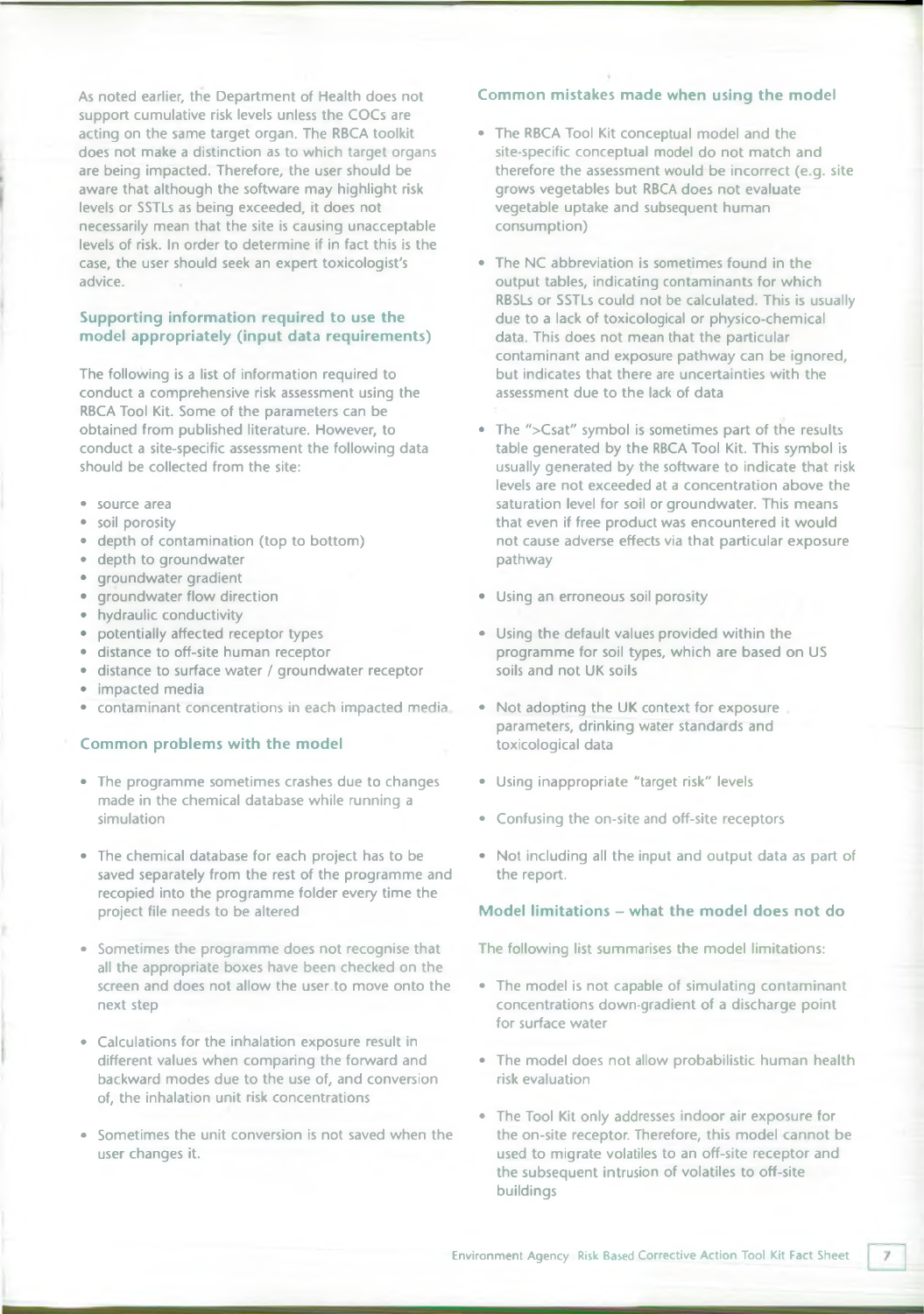As noted earlier, the Department of Health does not support cumulative risk levels unless the COCs are acting on the same target organ. The RBCA toolkit does not make a distinction as to which target organs are being impacted. Therefore, the user should be aware that although the software may highlight risk levels or SSTLs as being exceeded, it does not necessarily mean that the site is causing unacceptable levels of risk. In order to determine if in fact this is the case, the user should seek an expert toxicologist's advice.

#### **Supporting information required to use the model appropriately (input data requirements)**

The following is a list of information required to conduct a comprehensive risk assessment using the RBCA Tool Kit. Some of the parameters can be obtained from published literature. However, to conduct a site-specific assessment the following data should be collected from the site:

- source area
- soil porosity
- depth of contamination (top to bottom)
- depth to groundwater
- groundwater gradient
- groundwater flow direction
- hydraulic conductivity
- potentially affected receptor types
- distance to off-site human receptor
- distance to surface water / groundwater receptor
- impacted media
- contaminant concentrations in each impacted media

#### **Common problems with the model**

- The programme sometimes crashes due to changes made in the chemical database while running a simulation
- The chemical database for each project has to be saved separately from the rest of the programme and recopied into the programme folder every time the project file needs to be altered
- Sometimes the programme does not recognise that all the appropriate boxes have been checked on the screen and does not allow the user.to move onto the next step
- Calculations for the inhalation exposure result in different values when comparing the forward and backward modes due to the use of, and conversion of, the inhalation unit risk concentrations
- Sometimes the unit conversion is not saved when the user changes it.

#### **Common mistakes made when using the model**

- The RBCA Tool Kit conceptual model and the site-specific conceptual model do not match and therefore the assessment would be incorrect (e.g. site grows vegetables but RBCA does not evaluate vegetable uptake and subsequent human consumption)
- The NC abbreviation is sometimes found in the output tables, indicating contaminants for which RBSLs or SSTLs could not be calculated. This is usually due to a lack of toxicological or physico-chemical data. This does not mean that the particular contaminant and exposure pathway can be ignored, but indicates that there are uncertainties with the assessment due to the lack of data
- The ">Csat" symbol is sometimes part of the results table generated by the RBCA Tool Kit. This symbol is usually generated by the software to indicate that risk levels are not exceeded at a concentration above the saturation level for soil or groundwater. This means that even if free product was encountered it would not cause adverse effects via that particular exposure pathway
- Using an erroneous soil porosity
- Using the default values provided within the programme for soil types, which are based on US soils and not UK soils
- Not adopting the UK context for exposure parameters, drinking water standards and toxicological data
- Using inappropriate "target risk" levels
- Confusing the on-site and off-site receptors
- Not including all the input and output data as part of the report.

#### **Model limitations - what the model does not do**

The following list summarises the model limitations:

- The model is not capable of simulating contaminant concentrations down-gradient of a discharge point for surface water
- The model does not allow probabilistic human health risk evaluation
- The Tool Kit only addresses indoor air exposure for the on-site receptor. Therefore, this model cannot be used to migrate volatiles to an off-site receptor and the subsequent intrusion of volatiles to off-site buildings